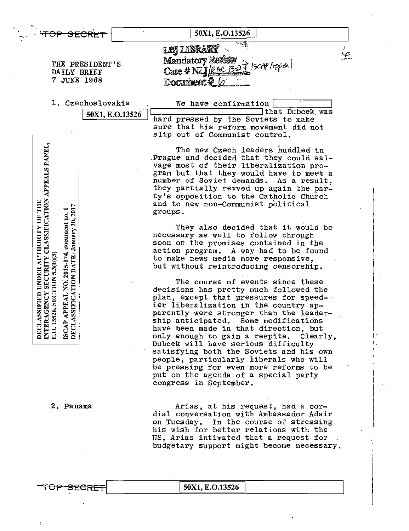|                                                                                                                                                      | 50X1, E.O.13526                                                                   |
|------------------------------------------------------------------------------------------------------------------------------------------------------|-----------------------------------------------------------------------------------|
|                                                                                                                                                      | $\frac{1}{2}$ and<br><b>LBJ LIBRARY</b>                                           |
|                                                                                                                                                      | Mandatory Revise                                                                  |
| THE PRESIDENT'S<br>DAILY BRIEF                                                                                                                       | $7327$ Iscni Appeal<br>$Case$ # NLJ $/RA$                                         |
| 7 JUNE 1968                                                                                                                                          | Document#                                                                         |
|                                                                                                                                                      |                                                                                   |
| 1. Czechoslovakia                                                                                                                                    | We have confirmation                                                              |
| 50X1, E.O.13526                                                                                                                                      | that Dubcek was                                                                   |
|                                                                                                                                                      | hard pressed by the Soviets to make                                               |
|                                                                                                                                                      | sure that his reform movement did not<br>slip out of Communist control.           |
|                                                                                                                                                      |                                                                                   |
|                                                                                                                                                      | The new Czech leaders huddled in                                                  |
|                                                                                                                                                      | Prague and decided that they could sal-                                           |
|                                                                                                                                                      | vage most of their liberalization pro-                                            |
|                                                                                                                                                      | gram but that they would have to meet a                                           |
|                                                                                                                                                      | number of Soviet demands. As a result,<br>they partially revved up again the par- |
|                                                                                                                                                      | ty's opposition to the Catholic Church                                            |
|                                                                                                                                                      | and to new non-Communist political                                                |
| 30, 201                                                                                                                                              | groups.                                                                           |
|                                                                                                                                                      |                                                                                   |
|                                                                                                                                                      | They also decided that it would be<br>necessary as well to follow through         |
|                                                                                                                                                      | soon on the promises contained in the                                             |
|                                                                                                                                                      | action program.<br>A way had to be found                                          |
|                                                                                                                                                      | to make news media more responsive,                                               |
| SECURITY CLASSIFICATION APPEALS PANEL,<br><b>ASSIFIED UNDER AUTHORITY OF THE</b><br>APPEAL NO. 2015-074, document no. 1<br>DATE: January<br>5.3(b)(3 | but without reintroducing censorship.                                             |
| <b>ASSIFICATION</b>                                                                                                                                  | The course of events since these                                                  |
|                                                                                                                                                      | decisions has pretty much followed the                                            |
|                                                                                                                                                      | plan, except that pressures for speed- .                                          |
| 526, SECTION<br>AGENCY                                                                                                                               | ier liberalization in the country ap-                                             |
|                                                                                                                                                      | parently were stronger than the leader-                                           |
| DECLA<br>E.O.13<br>DECL.                                                                                                                             | ship anticipated. Some modifications<br>have been made in that direction, but     |
| <b>INTER</b><br><b>ISCAP</b>                                                                                                                         | only enough to gain a respite. Clearly,                                           |
|                                                                                                                                                      | Dubcek will have serious difficulty                                               |
|                                                                                                                                                      | satisfying both the Soviets and his own<br>$\mathcal{Z}_{\mathcal{C}}$            |
|                                                                                                                                                      | people, particularly liberals who will                                            |
|                                                                                                                                                      | be pressing for even more reforms to be                                           |
|                                                                                                                                                      | put on the agenda of a special party<br>congress in September.                    |
|                                                                                                                                                      |                                                                                   |
| 2. Panama                                                                                                                                            | Arias, at his request, had a cor-                                                 |
|                                                                                                                                                      | dial conversation with Ambassador Adair                                           |
|                                                                                                                                                      | In the course of stressing<br>on Tuesday.                                         |
|                                                                                                                                                      | his wish for better relations with the                                            |
|                                                                                                                                                      | US, Arias intimated that a request for                                            |
|                                                                                                                                                      | budgetary support might become necessary.                                         |
|                                                                                                                                                      |                                                                                   |
|                                                                                                                                                      |                                                                                   |
| T <del>OP SEC</del>                                                                                                                                  | 50X1, E.O.13526                                                                   |
|                                                                                                                                                      |                                                                                   |

 $\mathbb{I}$ 

 $\blacksquare$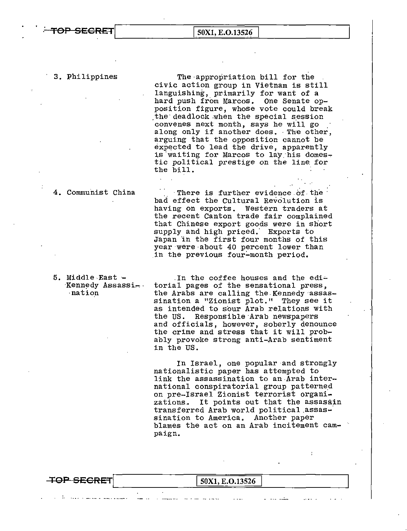## <del>OP SECRET</del>

50X1, E.O.13526

3. Philippines

The appropriation bill for the civic action group in Vietnam is still languishing, primarily for want of a hard push from Marcos. One Senate opposition figure, whose vote could break the deadlock when the special session convenes next month, says he will go along only if another does. The other, arguing that the opposition cannot be expected to lead the drive, apparently is waiting for Marcos to lay his domestic political prestige on the line for the bill.

4. Communist China

nation

There is further evidence of the bad effect the Cultural Revolution is having on exports. Western traders at<br>the recent Canton trade fair complained that Chinese export goods were in short supply and high priced. Exports to Japan in the first four months of this year were about 40 percent lower than in the previous four-month period.

5. Middle East -In the coffee houses and the edi-Kennedy Assassitorial pages of the sensational press, the Arabs are calling the Kennedy assassination a "Zionist plot." They see it as intended to sour Arab relations with the US. Responsible Arab newspapers and officials, however, soberly denounce the crime and stress that it will prob-

in the US.

In Israel, one popular and strongly nationalistic paper has attempted to link the assassination to an Arab international conspiratorial group patterned on pre-Israel Zionist terrorist organizations. It points out that the assassin transferred Arab world political assassination to America. Another paper blames the act on an Arab incitement campaign.

ably provoke strong anti-Arab sentiment

| <del>TOP SECRET</del> | 50X1, E.O.13526 |
|-----------------------|-----------------|
|                       |                 |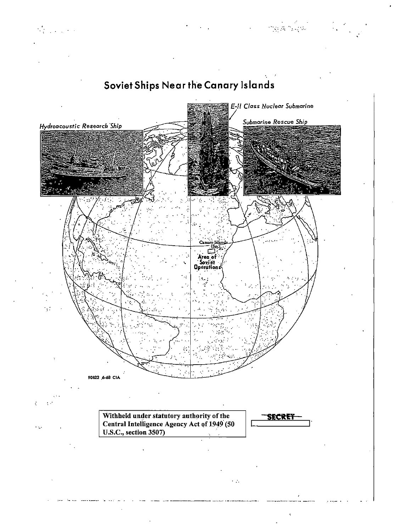

 $\frac{1}{2} \left( \frac{1}{2} \right)^{\frac{1}{2}}$